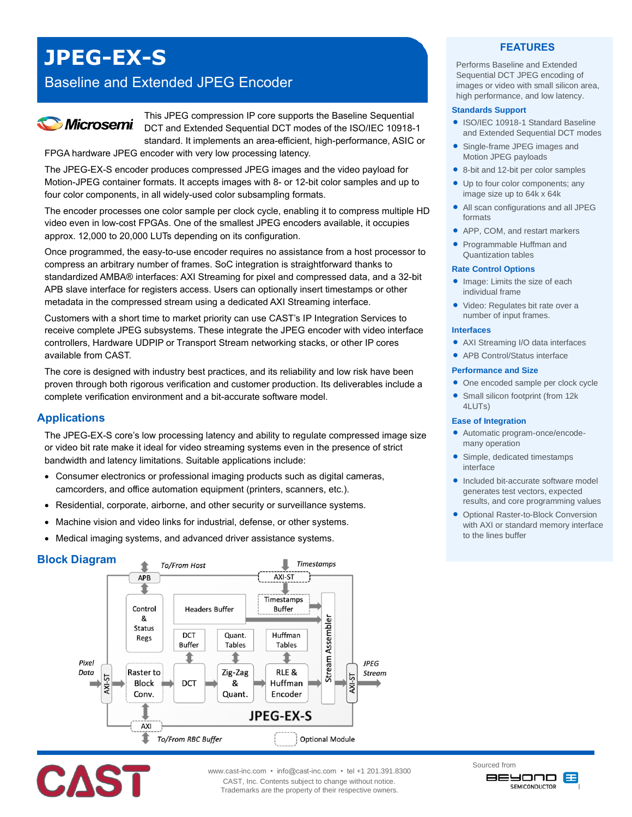# **JPEG-EX-S**

# Baseline and Extended JPEG Encoder



This JPEG compression IP core supports the Baseline Sequential DCT and Extended Sequential DCT modes of the ISO/IEC 10918-1 standard. It implements an area-efficient, high-performance, ASIC or

FPGA hardware JPEG encoder with very low processing latency.

The JPEG-EX-S encoder produces compressed JPEG images and the video payload for Motion-JPEG container formats. It accepts images with 8- or 12-bit color samples and up to four color components, in all widely-used color subsampling formats.

The encoder processes one color sample per clock cycle, enabling it to compress multiple HD video even in low-cost FPGAs. One of the smallest JPEG encoders available, it occupies approx. 12,000 to 20,000 LUTs depending on its configuration.

Once programmed, the easy-to-use encoder requires no assistance from a host processor to compress an arbitrary number of frames. SoC integration is straightforward thanks to standardized AMBA® interfaces: AXI Streaming for pixel and compressed data, and a 32-bit APB slave interface for registers access. Users can optionally insert timestamps or other metadata in the compressed stream using a dedicated AXI Streaming interface.

Customers with a short time to market priority can use CAST's IP Integration Services to receive complete JPEG subsystems. These integrate the JPEG encoder with video interface controllers, Hardware UDPIP or Transport Stream networking stacks, or other IP cores available from CAST.

The core is designed with industry best practices, and its reliability and low risk have been proven through both rigorous verification and customer production. Its deliverables include a complete verification environment and a bit-accurate software model.

# **Applications**

The JPEG-EX-S core's low processing latency and ability to regulate compressed image size or video bit rate make it ideal for video streaming systems even in the presence of strict bandwidth and latency limitations. Suitable applications include:

- Consumer electronics or professional imaging products such as digital cameras, camcorders, and office automation equipment (printers, scanners, etc.).
- Residential, corporate, airborne, and other security or surveillance systems.
- Machine vision and video links for industrial, defense, or other systems.
- Medical imaging systems, and advanced driver assistance systems.

# **Block Diagram**





www.cast-inc.com • info@cast-inc.com • tel +1 201.391.8300 CAST, Inc. Contents subject to change without notice. Trademarks are the property of their respective owners.

# **FEATURES**

Performs Baseline and Extended Sequential DCT JPEG encoding of images or video with small silicon area, high performance, and low latency.

#### **Standards Support**

- ISO/IEC 10918-1 Standard Baseline and Extended Sequential DCT modes
- Single-frame JPEG images and Motion JPEG payloads
- 8-bit and 12-bit per color samples
- Up to four color components: any image size up to 64k x 64k
- All scan configurations and all JPEG formats
- APP, COM, and restart markers
- Programmable Huffman and Quantization tables

#### **Rate Control Options**

- **Image:** Limits the size of each individual frame
- Video: Regulates bit rate over a number of input frames.

#### **Interfaces**

- AXI Streaming I/O data interfaces
- APB Control/Status interface

#### **Performance and Size**

- One encoded sample per clock cycle
- Small silicon footprint (from 12k 4LUTs)

#### **Ease of Integration**

- Automatic program-once/encodemany operation
- Simple, dedicated timestamps interface
- Included bit-accurate software model generates test vectors, expected results, and core programming values
- **Optional Raster-to-Block Conversion** with AXI or standard memory interface to the lines buffer